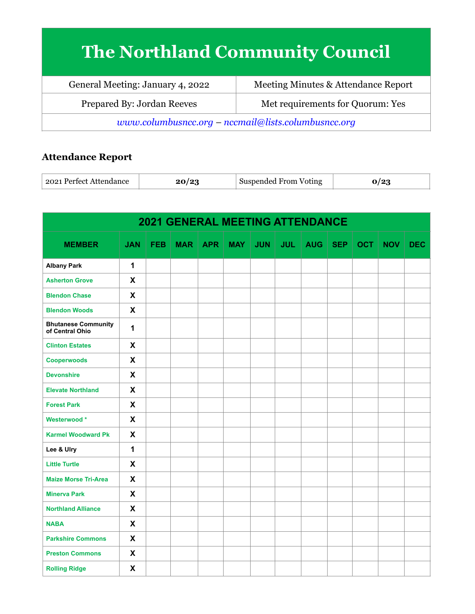## **The Northland Community Council**

| General Meeting: January 4, 2022                      | Meeting Minutes & Attendance Report |  |  |  |  |  |
|-------------------------------------------------------|-------------------------------------|--|--|--|--|--|
| Prepared By: Jordan Reeves                            | Met requirements for Quorum: Yes    |  |  |  |  |  |
| $www.columbusncc.org - nccmail@lists.columbusncc.org$ |                                     |  |  |  |  |  |

## **Attendance Report**

| 2021 Perfect Attendance |  | Suspended From Voting | ، ہ ا |
|-------------------------|--|-----------------------|-------|
|-------------------------|--|-----------------------|-------|

| <b>2021 GENERAL MEETING ATTENDANCE</b>        |              |            |            |            |     |            |            |     |            |     |            |            |
|-----------------------------------------------|--------------|------------|------------|------------|-----|------------|------------|-----|------------|-----|------------|------------|
| <b>MEMBER</b>                                 | <b>JAN</b>   | <b>FEB</b> | <b>MAR</b> | <b>APR</b> | MAY | <b>JUN</b> | <b>JUL</b> | AUG | <b>SEP</b> | OCT | <b>NOV</b> | <b>DEC</b> |
| <b>Albany Park</b>                            | $\mathbf{1}$ |            |            |            |     |            |            |     |            |     |            |            |
| <b>Asherton Grove</b>                         | X            |            |            |            |     |            |            |     |            |     |            |            |
| <b>Blendon Chase</b>                          | X            |            |            |            |     |            |            |     |            |     |            |            |
| <b>Blendon Woods</b>                          | X            |            |            |            |     |            |            |     |            |     |            |            |
| <b>Bhutanese Community</b><br>of Central Ohio | 1            |            |            |            |     |            |            |     |            |     |            |            |
| <b>Clinton Estates</b>                        | X            |            |            |            |     |            |            |     |            |     |            |            |
| <b>Cooperwoods</b>                            | X            |            |            |            |     |            |            |     |            |     |            |            |
| <b>Devonshire</b>                             | $\mathsf{X}$ |            |            |            |     |            |            |     |            |     |            |            |
| <b>Elevate Northland</b>                      | $\mathsf{X}$ |            |            |            |     |            |            |     |            |     |            |            |
| <b>Forest Park</b>                            | $\mathsf{X}$ |            |            |            |     |            |            |     |            |     |            |            |
| Westerwood*                                   | $\mathsf{X}$ |            |            |            |     |            |            |     |            |     |            |            |
| <b>Karmel Woodward Pk</b>                     | $\mathsf{X}$ |            |            |            |     |            |            |     |            |     |            |            |
| Lee & Ulry                                    | $\mathbf 1$  |            |            |            |     |            |            |     |            |     |            |            |
| <b>Little Turtle</b>                          | $\mathsf{X}$ |            |            |            |     |            |            |     |            |     |            |            |
| <b>Maize Morse Tri-Area</b>                   | X            |            |            |            |     |            |            |     |            |     |            |            |
| <b>Minerva Park</b>                           | $\mathsf{x}$ |            |            |            |     |            |            |     |            |     |            |            |
| <b>Northland Alliance</b>                     | $\mathbf{x}$ |            |            |            |     |            |            |     |            |     |            |            |
| <b>NABA</b>                                   | $\mathsf{X}$ |            |            |            |     |            |            |     |            |     |            |            |
| <b>Parkshire Commons</b>                      | $\mathbf{x}$ |            |            |            |     |            |            |     |            |     |            |            |
| <b>Preston Commons</b>                        | X            |            |            |            |     |            |            |     |            |     |            |            |
| <b>Rolling Ridge</b>                          | X            |            |            |            |     |            |            |     |            |     |            |            |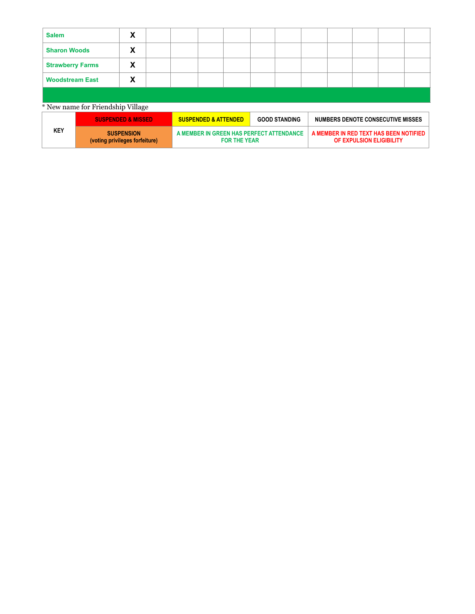| <b>Salem</b>            |                                   | X                             |                                 |                                                                 |  |  |                                                           |  |  |                          |                                        |  |
|-------------------------|-----------------------------------|-------------------------------|---------------------------------|-----------------------------------------------------------------|--|--|-----------------------------------------------------------|--|--|--------------------------|----------------------------------------|--|
| <b>Sharon Woods</b>     |                                   | χ                             |                                 |                                                                 |  |  |                                                           |  |  |                          |                                        |  |
| <b>Strawberry Farms</b> |                                   | X                             |                                 |                                                                 |  |  |                                                           |  |  |                          |                                        |  |
| <b>Woodstream East</b>  |                                   | х                             |                                 |                                                                 |  |  |                                                           |  |  |                          |                                        |  |
|                         |                                   |                               |                                 |                                                                 |  |  |                                                           |  |  |                          |                                        |  |
|                         | * New name for Friendship Village |                               |                                 |                                                                 |  |  |                                                           |  |  |                          |                                        |  |
|                         |                                   | <b>SUSPENDED &amp; MISSED</b> | <b>SUSPENDED &amp; ATTENDED</b> |                                                                 |  |  | <b>GOOD STANDING</b><br>NUMBERS DENOTE CONSECUTIVE MISSES |  |  |                          |                                        |  |
| <b>KEY</b>              | (voting privileges forfeiture)    | <b>SUSPENSION</b>             |                                 | A MEMBER IN GREEN HAS PERFECT ATTENDANCE<br><b>FOR THE YEAR</b> |  |  |                                                           |  |  | OF EXPULSION ELIGIBILITY | A MEMBER IN RED TEXT HAS BEEN NOTIFIED |  |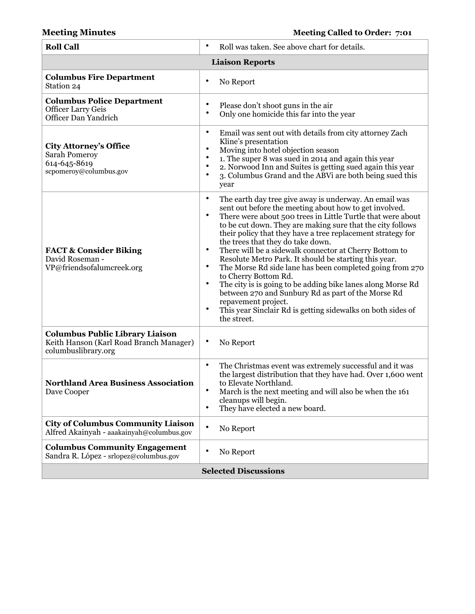| <b>Roll Call</b>                                                                                         | $\bullet$<br>Roll was taken. See above chart for details.                                                                                                                                                                                                                                                                                                                                                                                                                                                                                                                                                                                                                                                                                                                                                                                                |  |  |  |  |  |  |
|----------------------------------------------------------------------------------------------------------|----------------------------------------------------------------------------------------------------------------------------------------------------------------------------------------------------------------------------------------------------------------------------------------------------------------------------------------------------------------------------------------------------------------------------------------------------------------------------------------------------------------------------------------------------------------------------------------------------------------------------------------------------------------------------------------------------------------------------------------------------------------------------------------------------------------------------------------------------------|--|--|--|--|--|--|
| <b>Liaison Reports</b>                                                                                   |                                                                                                                                                                                                                                                                                                                                                                                                                                                                                                                                                                                                                                                                                                                                                                                                                                                          |  |  |  |  |  |  |
| <b>Columbus Fire Department</b><br>Station 24                                                            | No Report                                                                                                                                                                                                                                                                                                                                                                                                                                                                                                                                                                                                                                                                                                                                                                                                                                                |  |  |  |  |  |  |
| <b>Columbus Police Department</b><br><b>Officer Larry Geis</b><br>Officer Dan Yandrich                   | Please don't shoot guns in the air<br>٠<br>٠<br>Only one homicide this far into the year                                                                                                                                                                                                                                                                                                                                                                                                                                                                                                                                                                                                                                                                                                                                                                 |  |  |  |  |  |  |
| <b>City Attorney's Office</b><br>Sarah Pomeroy<br>614-645-8619<br>scpomeroy@columbus.gov                 | $\bullet$<br>Email was sent out with details from city attorney Zach<br>Kline's presentation<br>$\bullet$<br>Moving into hotel objection season<br>$\bullet$<br>1. The super 8 was sued in 2014 and again this year<br>$\bullet$<br>2. Norwood Inn and Suites is getting sued again this year<br>٠<br>3. Columbus Grand and the ABVi are both being sued this<br>year                                                                                                                                                                                                                                                                                                                                                                                                                                                                                    |  |  |  |  |  |  |
| <b>FACT &amp; Consider Biking</b><br>David Roseman -<br>VP@friendsofalumcreek.org                        | $\bullet$<br>The earth day tree give away is underway. An email was<br>sent out before the meeting about how to get involved.<br>$\bullet$<br>There were about 500 trees in Little Turtle that were about<br>to be cut down. They are making sure that the city follows<br>their policy that they have a tree replacement strategy for<br>the trees that they do take down.<br>$\bullet$<br>There will be a sidewalk connector at Cherry Bottom to<br>Resolute Metro Park. It should be starting this year.<br>$\bullet$<br>The Morse Rd side lane has been completed going from 270<br>to Cherry Bottom Rd.<br>The city is is going to be adding bike lanes along Morse Rd<br>$\bullet$<br>between 270 and Sunbury Rd as part of the Morse Rd<br>repavement project.<br>This year Sinclair Rd is getting sidewalks on both sides of<br>٠<br>the street. |  |  |  |  |  |  |
| <b>Columbus Public Library Liaison</b><br>Keith Hanson (Karl Road Branch Manager)<br>columbuslibrary.org | $\bullet$<br>No Report                                                                                                                                                                                                                                                                                                                                                                                                                                                                                                                                                                                                                                                                                                                                                                                                                                   |  |  |  |  |  |  |
| <b>Northland Area Business Association</b><br>Dave Cooper                                                | $\bullet$<br>The Christmas event was extremely successful and it was<br>the largest distribution that they have had. Over 1,600 went<br>to Elevate Northland.<br>March is the next meeting and will also be when the 161<br>٠<br>cleanups will begin.<br>They have elected a new board.<br>٠                                                                                                                                                                                                                                                                                                                                                                                                                                                                                                                                                             |  |  |  |  |  |  |
| <b>City of Columbus Community Liaison</b><br>Alfred Akainyah - aaakainyah@columbus.gov                   | $\bullet$<br>No Report                                                                                                                                                                                                                                                                                                                                                                                                                                                                                                                                                                                                                                                                                                                                                                                                                                   |  |  |  |  |  |  |
| <b>Columbus Community Engagement</b><br>Sandra R. López - srlopez@columbus.gov                           | $\bullet$<br>No Report                                                                                                                                                                                                                                                                                                                                                                                                                                                                                                                                                                                                                                                                                                                                                                                                                                   |  |  |  |  |  |  |
| <b>Selected Discussions</b>                                                                              |                                                                                                                                                                                                                                                                                                                                                                                                                                                                                                                                                                                                                                                                                                                                                                                                                                                          |  |  |  |  |  |  |